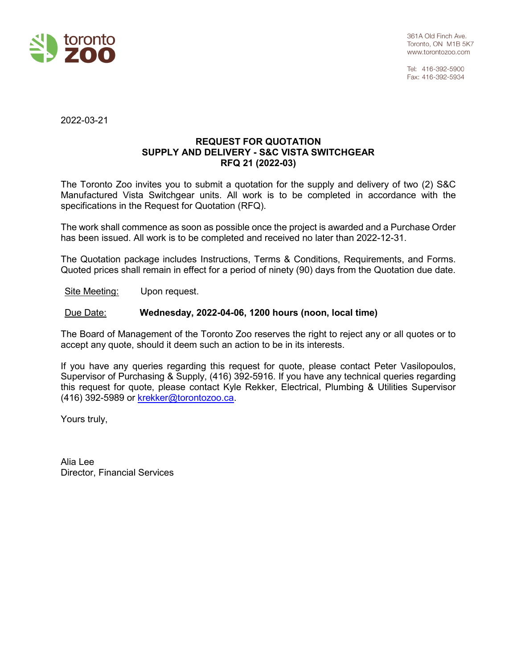

Tel: 416-392-5900 Fax: 416-392-5934

2022-03-21

### **REQUEST FOR QUOTATION SUPPLY AND DELIVERY - S&C VISTA SWITCHGEAR RFQ 21 (2022-03)**

The Toronto Zoo invites you to submit a quotation for the supply and delivery of two (2) S&C Manufactured Vista Switchgear units. All work is to be completed in accordance with the specifications in the Request for Quotation (RFQ).

The work shall commence as soon as possible once the project is awarded and a Purchase Order has been issued. All work is to be completed and received no later than 2022-12-31.

The Quotation package includes Instructions, Terms & Conditions, Requirements, and Forms. Quoted prices shall remain in effect for a period of ninety (90) days from the Quotation due date.

Site Meeting: Upon request.

### Due Date: **Wednesday, 2022-04-06, 1200 hours (noon, local time)**

The Board of Management of the Toronto Zoo reserves the right to reject any or all quotes or to accept any quote, should it deem such an action to be in its interests.

If you have any queries regarding this request for quote, please contact Peter Vasilopoulos, Supervisor of Purchasing & Supply, (416) 392-5916. If you have any technical queries regarding this request for quote, please contact Kyle Rekker, Electrical, Plumbing & Utilities Supervisor (416) 392-5989 or krekker@torontozoo.ca.

Yours truly,

Alia Lee Director, Financial Services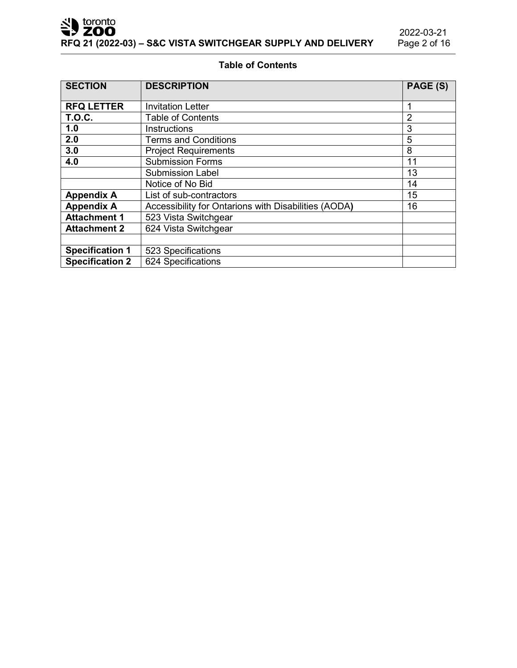Sales toronto

# **Table of Contents**

| <b>SECTION</b>         | <b>DESCRIPTION</b>                                   | PAGE (S)       |
|------------------------|------------------------------------------------------|----------------|
| <b>RFQ LETTER</b>      | <b>Invitation Letter</b>                             | 1              |
| <b>T.O.C.</b>          | <b>Table of Contents</b>                             | $\overline{2}$ |
| 1.0                    | <b>Instructions</b>                                  | 3              |
| 2.0                    | <b>Terms and Conditions</b>                          | 5              |
| 3.0                    | <b>Project Requirements</b>                          | 8              |
| 4.0                    | <b>Submission Forms</b>                              | 11             |
|                        | <b>Submission Label</b>                              | 13             |
|                        | Notice of No Bid                                     | 14             |
| <b>Appendix A</b>      | List of sub-contractors                              | 15             |
| <b>Appendix A</b>      | Accessibility for Ontarions with Disabilities (AODA) | 16             |
| <b>Attachment 1</b>    | 523 Vista Switchgear                                 |                |
| <b>Attachment 2</b>    | 624 Vista Switchgear                                 |                |
|                        |                                                      |                |
| <b>Specification 1</b> | 523 Specifications                                   |                |
| <b>Specification 2</b> | 624 Specifications                                   |                |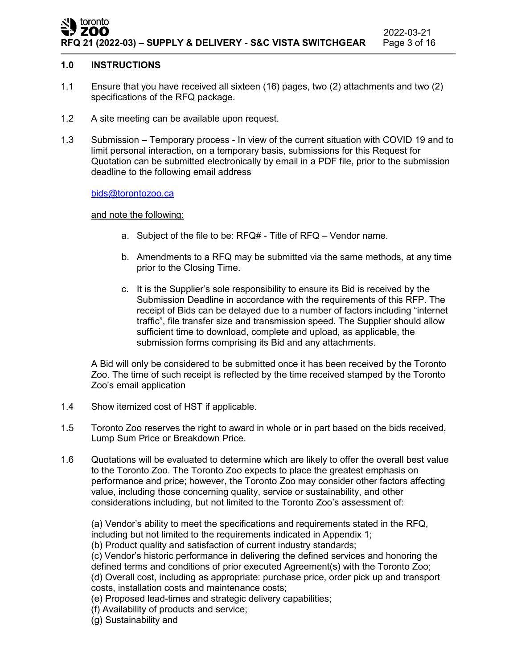### toronto ZOO 2022-03-21 **RFQ 21 (2022-03) – SUPPLY & DELIVERY - S&C VISTA SWITCHGEAR** Page 3 of 16

### **1.0 INSTRUCTIONS**

- 1.1 Ensure that you have received all sixteen (16) pages, two (2) attachments and two (2) specifications of the RFQ package.
- 1.2 A site meeting can be available upon request.
- 1.3 Submission Temporary process In view of the current situation with COVID 19 and to limit personal interaction, on a temporary basis, submissions for this Request for Quotation can be submitted electronically by email in a PDF file, prior to the submission deadline to the following email address

[bids@torontozoo.ca](mailto:bids@torontozoo.ca)

### and note the following:

- a. Subject of the file to be: RFQ# Title of RFQ Vendor name.
- b. Amendments to a RFQ may be submitted via the same methods, at any time prior to the Closing Time.
- c. It is the Supplier's sole responsibility to ensure its Bid is received by the Submission Deadline in accordance with the requirements of this RFP. The receipt of Bids can be delayed due to a number of factors including "internet traffic", file transfer size and transmission speed. The Supplier should allow sufficient time to download, complete and upload, as applicable, the submission forms comprising its Bid and any attachments.

A Bid will only be considered to be submitted once it has been received by the Toronto Zoo. The time of such receipt is reflected by the time received stamped by the Toronto Zoo's email application

- 1.4 Show itemized cost of HST if applicable.
- 1.5 Toronto Zoo reserves the right to award in whole or in part based on the bids received, Lump Sum Price or Breakdown Price.
- 1.6 Quotations will be evaluated to determine which are likely to offer the overall best value to the Toronto Zoo. The Toronto Zoo expects to place the greatest emphasis on performance and price; however, the Toronto Zoo may consider other factors affecting value, including those concerning quality, service or sustainability, and other considerations including, but not limited to the Toronto Zoo's assessment of:

(a) Vendor's ability to meet the specifications and requirements stated in the RFQ, including but not limited to the requirements indicated in Appendix 1;

(b) Product quality and satisfaction of current industry standards;

(c) Vendor's historic performance in delivering the defined services and honoring the defined terms and conditions of prior executed Agreement(s) with the Toronto Zoo; (d) Overall cost, including as appropriate: purchase price, order pick up and transport costs, installation costs and maintenance costs;

(e) Proposed lead-times and strategic delivery capabilities;

(f) Availability of products and service;

(g) Sustainability and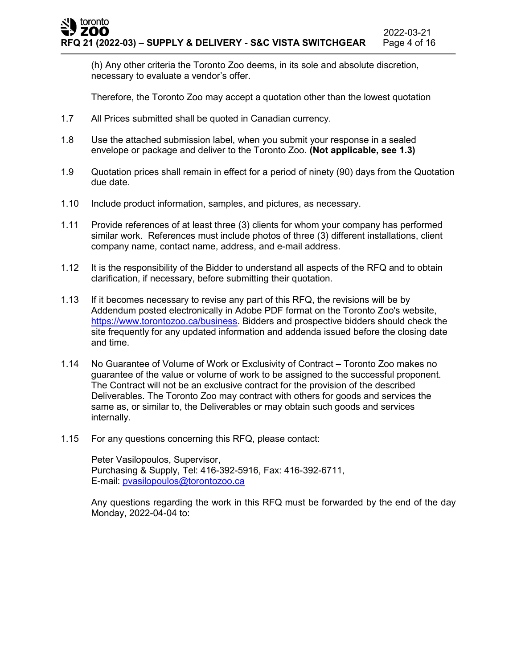(h) Any other criteria the Toronto Zoo deems, in its sole and absolute discretion, necessary to evaluate a vendor's offer.

Therefore, the Toronto Zoo may accept a quotation other than the lowest quotation

- 1.7 All Prices submitted shall be quoted in Canadian currency.
- 1.8 Use the attached submission label, when you submit your response in a sealed envelope or package and deliver to the Toronto Zoo. **(Not applicable, see 1.3)**
- 1.9 Quotation prices shall remain in effect for a period of ninety (90) days from the Quotation due date.
- 1.10 Include product information, samples, and pictures, as necessary.
- 1.11 Provide references of at least three (3) clients for whom your company has performed similar work. References must include photos of three (3) different installations, client company name, contact name, address, and e-mail address.
- 1.12 It is the responsibility of the Bidder to understand all aspects of the RFQ and to obtain clarification, if necessary, before submitting their quotation.
- 1.13 If it becomes necessary to revise any part of this RFQ, the revisions will be by Addendum posted electronically in Adobe PDF format on the Toronto Zoo's website, [https://www.torontozoo.ca/business.](https://www.torontozoo.ca/business) Bidders and prospective bidders should check the site frequently for any updated information and addenda issued before the closing date and time.
- 1.14 No Guarantee of Volume of Work or Exclusivity of Contract Toronto Zoo makes no guarantee of the value or volume of work to be assigned to the successful proponent. The Contract will not be an exclusive contract for the provision of the described Deliverables. The Toronto Zoo may contract with others for goods and services the same as, or similar to, the Deliverables or may obtain such goods and services internally.
- 1.15 For any questions concerning this RFQ, please contact:

Peter Vasilopoulos, Supervisor, Purchasing & Supply, Tel: 416-392-5916, Fax: 416-392-6711, E-mail: [pvasilopoulos@torontozoo.ca](mailto:pvasilopoulos@torontozoo.ca)

Any questions regarding the work in this RFQ must be forwarded by the end of the day Monday, 2022-04-04 to: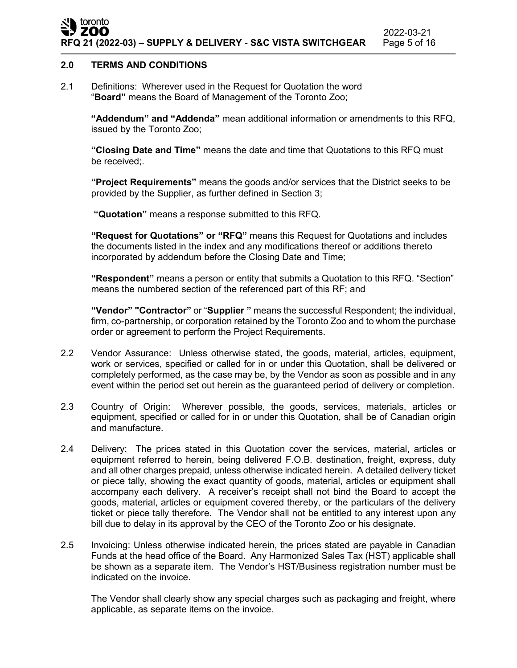### **2.0 TERMS AND CONDITIONS**

2.1 Definitions: Wherever used in the Request for Quotation the word "**Board"** means the Board of Management of the Toronto Zoo;

**"Addendum" and "Addenda"** mean additional information or amendments to this RFQ, issued by the Toronto Zoo;

**"Closing Date and Time"** means the date and time that Quotations to this RFQ must be received;.

**"Project Requirements"** means the goods and/or services that the District seeks to be provided by the Supplier, as further defined in Section 3;

**"Quotation"** means a response submitted to this RFQ.

**"Request for Quotations" or "RFQ"** means this Request for Quotations and includes the documents listed in the index and any modifications thereof or additions thereto incorporated by addendum before the Closing Date and Time;

**"Respondent"** means a person or entity that submits a Quotation to this RFQ. "Section" means the numbered section of the referenced part of this RF; and

**"Vendor" "Contractor"** or "**Supplier "** means the successful Respondent; the individual, firm, co-partnership, or corporation retained by the Toronto Zoo and to whom the purchase order or agreement to perform the Project Requirements.

- 2.2 Vendor Assurance: Unless otherwise stated, the goods, material, articles, equipment, work or services, specified or called for in or under this Quotation, shall be delivered or completely performed, as the case may be, by the Vendor as soon as possible and in any event within the period set out herein as the guaranteed period of delivery or completion.
- 2.3 Country of Origin: Wherever possible, the goods, services, materials, articles or equipment, specified or called for in or under this Quotation, shall be of Canadian origin and manufacture.
- 2.4 Delivery: The prices stated in this Quotation cover the services, material, articles or equipment referred to herein, being delivered F.O.B. destination, freight, express, duty and all other charges prepaid, unless otherwise indicated herein. A detailed delivery ticket or piece tally, showing the exact quantity of goods, material, articles or equipment shall accompany each delivery. A receiver's receipt shall not bind the Board to accept the goods, material, articles or equipment covered thereby, or the particulars of the delivery ticket or piece tally therefore. The Vendor shall not be entitled to any interest upon any bill due to delay in its approval by the CEO of the Toronto Zoo or his designate.
- 2.5 Invoicing: Unless otherwise indicated herein, the prices stated are payable in Canadian Funds at the head office of the Board. Any Harmonized Sales Tax (HST) applicable shall be shown as a separate item. The Vendor's HST/Business registration number must be indicated on the invoice.

The Vendor shall clearly show any special charges such as packaging and freight, where applicable, as separate items on the invoice.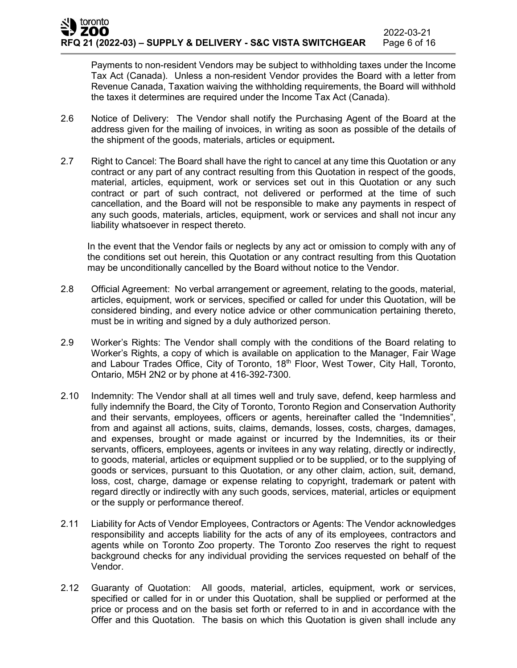Payments to non-resident Vendors may be subject to withholding taxes under the Income Tax Act (Canada). Unless a non-resident Vendor provides the Board with a letter from Revenue Canada, Taxation waiving the withholding requirements, the Board will withhold the taxes it determines are required under the Income Tax Act (Canada).

- 2.6 Notice of Delivery: The Vendor shall notify the Purchasing Agent of the Board at the address given for the mailing of invoices, in writing as soon as possible of the details of the shipment of the goods, materials, articles or equipment**.**
- 2.7 Right to Cancel: The Board shall have the right to cancel at any time this Quotation or any contract or any part of any contract resulting from this Quotation in respect of the goods, material, articles, equipment, work or services set out in this Quotation or any such contract or part of such contract, not delivered or performed at the time of such cancellation, and the Board will not be responsible to make any payments in respect of any such goods, materials, articles, equipment, work or services and shall not incur any liability whatsoever in respect thereto.

In the event that the Vendor fails or neglects by any act or omission to comply with any of the conditions set out herein, this Quotation or any contract resulting from this Quotation may be unconditionally cancelled by the Board without notice to the Vendor.

- 2.8 Official Agreement: No verbal arrangement or agreement, relating to the goods, material, articles, equipment, work or services, specified or called for under this Quotation, will be considered binding, and every notice advice or other communication pertaining thereto, must be in writing and signed by a duly authorized person.
- 2.9 Worker's Rights: The Vendor shall comply with the conditions of the Board relating to Worker's Rights, a copy of which is available on application to the Manager, Fair Wage and Labour Trades Office, City of Toronto,  $18<sup>th</sup>$  Floor, West Tower, City Hall, Toronto, Ontario, M5H 2N2 or by phone at 416-392-7300.
- 2.10 Indemnity: The Vendor shall at all times well and truly save, defend, keep harmless and fully indemnify the Board, the City of Toronto, Toronto Region and Conservation Authority and their servants, employees, officers or agents, hereinafter called the "Indemnities", from and against all actions, suits, claims, demands, losses, costs, charges, damages, and expenses, brought or made against or incurred by the Indemnities, its or their servants, officers, employees, agents or invitees in any way relating, directly or indirectly, to goods, material, articles or equipment supplied or to be supplied, or to the supplying of goods or services, pursuant to this Quotation, or any other claim, action, suit, demand, loss, cost, charge, damage or expense relating to copyright, trademark or patent with regard directly or indirectly with any such goods, services, material, articles or equipment or the supply or performance thereof.
- 2.11 Liability for Acts of Vendor Employees, Contractors or Agents: The Vendor acknowledges responsibility and accepts liability for the acts of any of its employees, contractors and agents while on Toronto Zoo property. The Toronto Zoo reserves the right to request background checks for any individual providing the services requested on behalf of the Vendor.
- 2.12 Guaranty of Quotation: All goods, material, articles, equipment, work or services, specified or called for in or under this Quotation, shall be supplied or performed at the price or process and on the basis set forth or referred to in and in accordance with the Offer and this Quotation. The basis on which this Quotation is given shall include any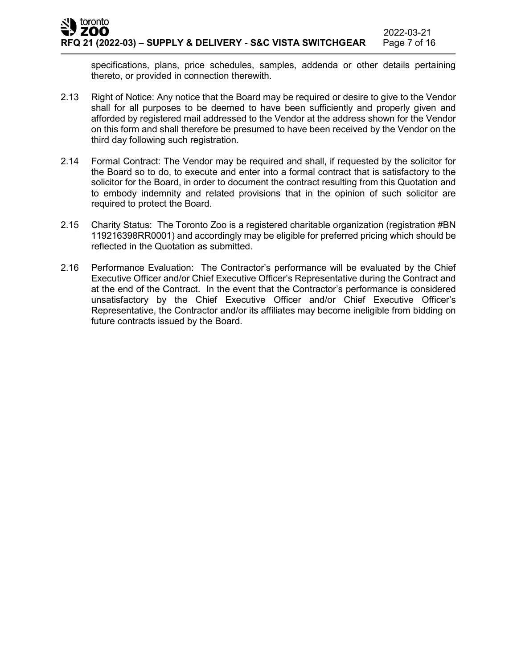specifications, plans, price schedules, samples, addenda or other details pertaining thereto, or provided in connection therewith.

- 2.13 Right of Notice: Any notice that the Board may be required or desire to give to the Vendor shall for all purposes to be deemed to have been sufficiently and properly given and afforded by registered mail addressed to the Vendor at the address shown for the Vendor on this form and shall therefore be presumed to have been received by the Vendor on the third day following such registration.
- 2.14 Formal Contract: The Vendor may be required and shall, if requested by the solicitor for the Board so to do, to execute and enter into a formal contract that is satisfactory to the solicitor for the Board, in order to document the contract resulting from this Quotation and to embody indemnity and related provisions that in the opinion of such solicitor are required to protect the Board.
- 2.15 Charity Status: The Toronto Zoo is a registered charitable organization (registration #BN 119216398RR0001) and accordingly may be eligible for preferred pricing which should be reflected in the Quotation as submitted.
- 2.16 Performance Evaluation: The Contractor's performance will be evaluated by the Chief Executive Officer and/or Chief Executive Officer's Representative during the Contract and at the end of the Contract. In the event that the Contractor's performance is considered unsatisfactory by the Chief Executive Officer and/or Chief Executive Officer's Representative, the Contractor and/or its affiliates may become ineligible from bidding on future contracts issued by the Board.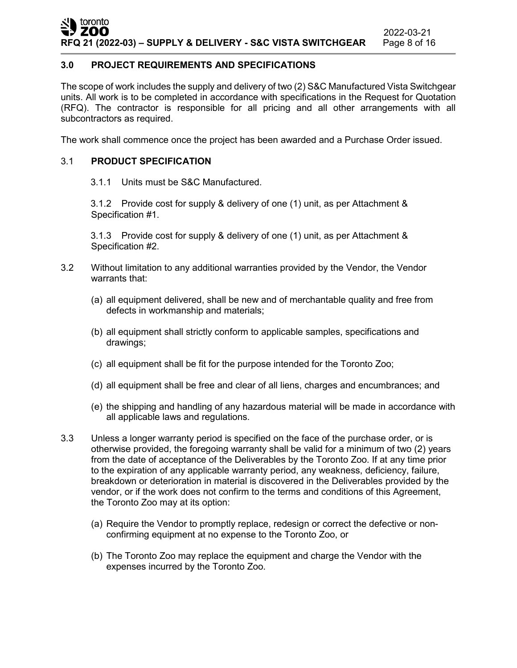### **3.0 PROJECT REQUIREMENTS AND SPECIFICATIONS**

The scope of work includes the supply and delivery of two (2) S&C Manufactured Vista Switchgear units. All work is to be completed in accordance with specifications in the Request for Quotation (RFQ). The contractor is responsible for all pricing and all other arrangements with all subcontractors as required.

The work shall commence once the project has been awarded and a Purchase Order issued.

## 3.1 **PRODUCT SPECIFICATION**

3.1.1 Units must be S&C Manufactured.

3.1.2 Provide cost for supply & delivery of one (1) unit, as per Attachment & Specification #1.

3.1.3 Provide cost for supply & delivery of one (1) unit, as per Attachment & Specification #2.

- 3.2 Without limitation to any additional warranties provided by the Vendor, the Vendor warrants that:
	- (a) all equipment delivered, shall be new and of merchantable quality and free from defects in workmanship and materials;
	- (b) all equipment shall strictly conform to applicable samples, specifications and drawings;
	- (c) all equipment shall be fit for the purpose intended for the Toronto Zoo;
	- (d) all equipment shall be free and clear of all liens, charges and encumbrances; and
	- (e) the shipping and handling of any hazardous material will be made in accordance with all applicable laws and regulations.
- 3.3 Unless a longer warranty period is specified on the face of the purchase order, or is otherwise provided, the foregoing warranty shall be valid for a minimum of two (2) years from the date of acceptance of the Deliverables by the Toronto Zoo. If at any time prior to the expiration of any applicable warranty period, any weakness, deficiency, failure, breakdown or deterioration in material is discovered in the Deliverables provided by the vendor, or if the work does not confirm to the terms and conditions of this Agreement, the Toronto Zoo may at its option:
	- (a) Require the Vendor to promptly replace, redesign or correct the defective or nonconfirming equipment at no expense to the Toronto Zoo, or
	- (b) The Toronto Zoo may replace the equipment and charge the Vendor with the expenses incurred by the Toronto Zoo.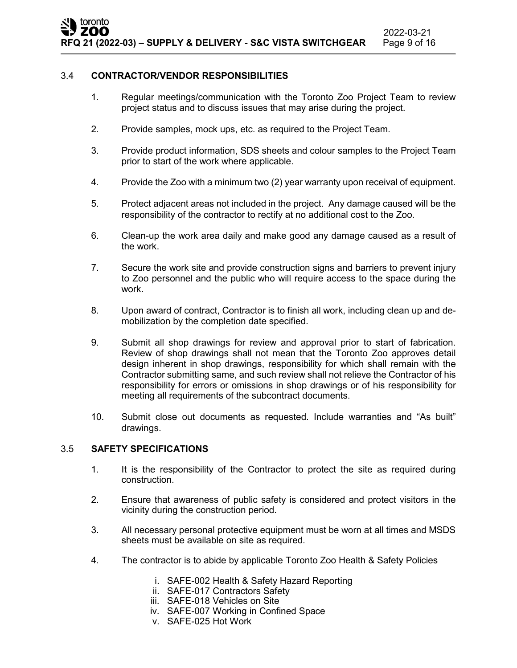### 3.4 **CONTRACTOR/VENDOR RESPONSIBILITIES**

- 1. Regular meetings/communication with the Toronto Zoo Project Team to review project status and to discuss issues that may arise during the project.
- 2. Provide samples, mock ups, etc. as required to the Project Team.
- 3. Provide product information, SDS sheets and colour samples to the Project Team prior to start of the work where applicable.
- 4. Provide the Zoo with a minimum two (2) year warranty upon receival of equipment.
- 5. Protect adjacent areas not included in the project. Any damage caused will be the responsibility of the contractor to rectify at no additional cost to the Zoo.
- 6. Clean-up the work area daily and make good any damage caused as a result of the work.
- 7. Secure the work site and provide construction signs and barriers to prevent injury to Zoo personnel and the public who will require access to the space during the work.
- 8. Upon award of contract, Contractor is to finish all work, including clean up and demobilization by the completion date specified.
- 9. Submit all shop drawings for review and approval prior to start of fabrication. Review of shop drawings shall not mean that the Toronto Zoo approves detail design inherent in shop drawings, responsibility for which shall remain with the Contractor submitting same, and such review shall not relieve the Contractor of his responsibility for errors or omissions in shop drawings or of his responsibility for meeting all requirements of the subcontract documents.
- 10. Submit close out documents as requested. Include warranties and "As built" drawings.

### 3.5 **SAFETY SPECIFICATIONS**

- 1. It is the responsibility of the Contractor to protect the site as required during construction.
- 2. Ensure that awareness of public safety is considered and protect visitors in the vicinity during the construction period.
- 3. All necessary personal protective equipment must be worn at all times and MSDS sheets must be available on site as required.
- 4. The contractor is to abide by applicable Toronto Zoo Health & Safety Policies
	- i. SAFE-002 Health & Safety Hazard Reporting
	- ii. SAFE-017 Contractors Safety
	- iii. SAFE-018 Vehicles on Site
	- iv. SAFE-007 Working in Confined Space
	- v. SAFE-025 Hot Work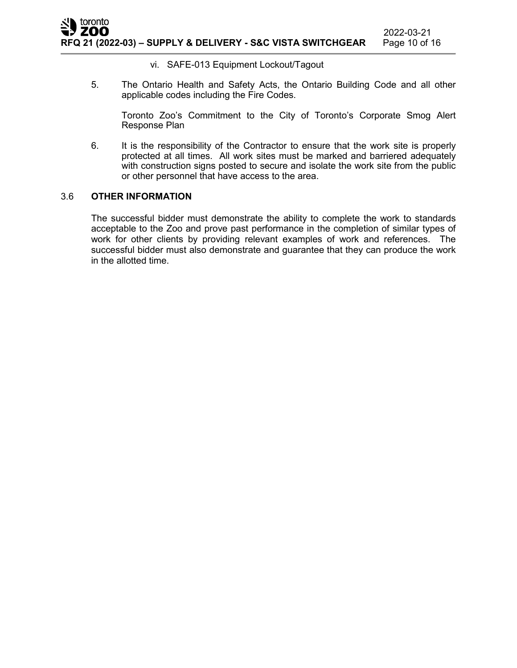### vi. SAFE-013 Equipment Lockout/Tagout

5. The Ontario Health and Safety Acts, the Ontario Building Code and all other applicable codes including the Fire Codes.

Toronto Zoo's Commitment to the City of Toronto's Corporate Smog Alert Response Plan

6. It is the responsibility of the Contractor to ensure that the work site is properly protected at all times. All work sites must be marked and barriered adequately with construction signs posted to secure and isolate the work site from the public or other personnel that have access to the area.

### 3.6 **OTHER INFORMATION**

The successful bidder must demonstrate the ability to complete the work to standards acceptable to the Zoo and prove past performance in the completion of similar types of work for other clients by providing relevant examples of work and references. The successful bidder must also demonstrate and guarantee that they can produce the work in the allotted time.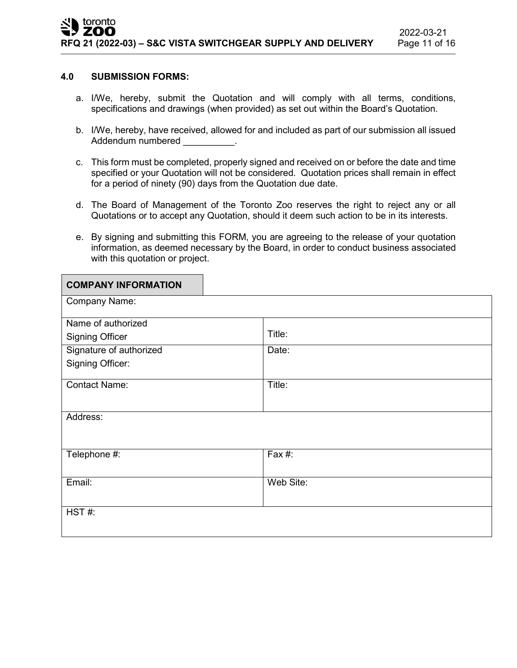### **4.0 SUBMISSION FORMS:**

- a. I/We, hereby, submit the Quotation and will comply with all terms, conditions, specifications and drawings (when provided) as set out within the Board's Quotation.
- b. I/We, hereby, have received, allowed for and included as part of our submission all issued Addendum numbered example.
- c. This form must be completed, properly signed and received on or before the date and time specified or your Quotation will not be considered. Quotation prices shall remain in effect for a period of ninety (90) days from the Quotation due date.
- d. The Board of Management of the Toronto Zoo reserves the right to reject any or all Quotations or to accept any Quotation, should it deem such action to be in its interests.
- e. By signing and submitting this FORM, you are agreeing to the release of your quotation information, as deemed necessary by the Board, in order to conduct business associated with this quotation or project.

| <b>COMPANY INFORMATION</b> |           |
|----------------------------|-----------|
| Company Name:              |           |
| Name of authorized         |           |
| <b>Signing Officer</b>     | Title:    |
| Signature of authorized    | Date:     |
| Signing Officer:           |           |
| <b>Contact Name:</b>       | Title:    |
| Address:                   |           |
| Telephone #:               | Fax $#$ : |
| Email:                     | Web Site: |
| HST#:                      |           |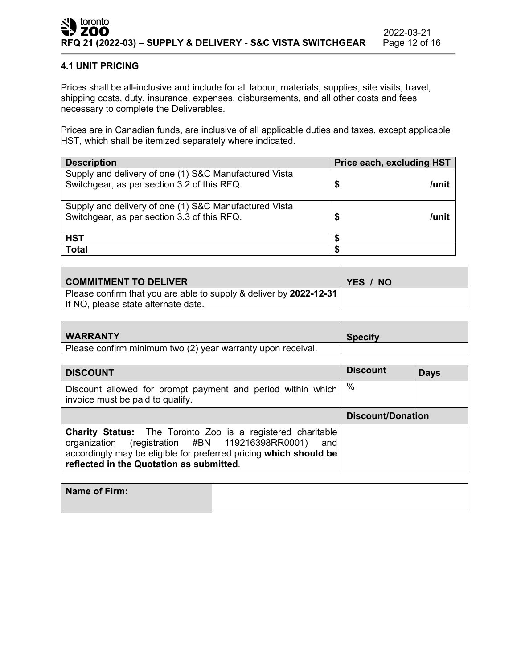### **4.1 UNIT PRICING**

Prices shall be all-inclusive and include for all labour, materials, supplies, site visits, travel, shipping costs, duty, insurance, expenses, disbursements, and all other costs and fees necessary to complete the Deliverables.

Prices are in Canadian funds, are inclusive of all applicable duties and taxes, except applicable HST, which shall be itemized separately where indicated.

| <b>Description</b>                                                                                   |   | Price each, excluding HST |
|------------------------------------------------------------------------------------------------------|---|---------------------------|
| Supply and delivery of one (1) S&C Manufactured Vista<br>Switchgear, as per section 3.2 of this RFQ. | S | /unit                     |
| Supply and delivery of one (1) S&C Manufactured Vista<br>Switchgear, as per section 3.3 of this RFQ. | S | /unit                     |
| <b>HST</b>                                                                                           |   |                           |
| <b>Total</b>                                                                                         |   |                           |

| <b>COMMITMENT TO DELIVER</b>                                                                              | YES / NO |
|-----------------------------------------------------------------------------------------------------------|----------|
| Please confirm that you are able to supply & deliver by 2022-12-31<br>If NO, please state alternate date. |          |

| <b>WARRANTY</b>                                             | <b>Specify</b> |
|-------------------------------------------------------------|----------------|
| Please confirm minimum two (2) year warranty upon receival. |                |

| <b>DISCOUNT</b>                                                                                                                                                                                                                              | <b>Discount</b>          | <b>Days</b> |
|----------------------------------------------------------------------------------------------------------------------------------------------------------------------------------------------------------------------------------------------|--------------------------|-------------|
| Discount allowed for prompt payment and period within which<br>invoice must be paid to qualify.                                                                                                                                              | %                        |             |
|                                                                                                                                                                                                                                              | <b>Discount/Donation</b> |             |
| <b>Charity Status:</b> The Toronto Zoo is a registered charitable<br>organization (registration #BN 119216398RR0001)<br>and<br>accordingly may be eligible for preferred pricing which should be<br>reflected in the Quotation as submitted. |                          |             |

| Name of Firm: |  |
|---------------|--|
|               |  |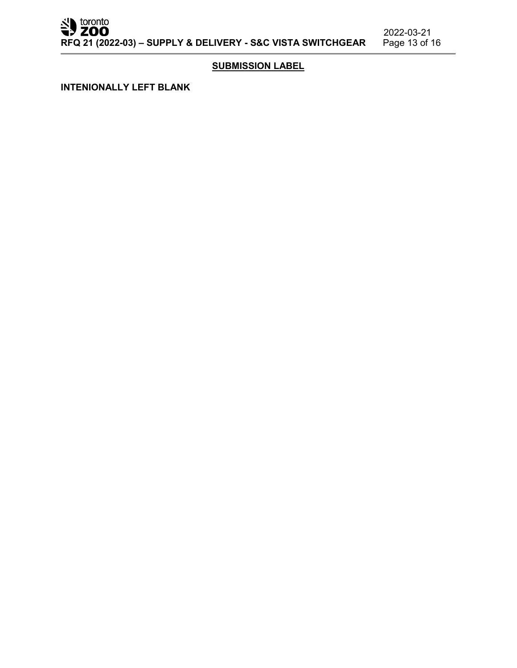SU toronto

2022-03-21<br>Page 13 of 16

### **SUBMISSION LABEL**

**INTENIONALLY LEFT BLANK**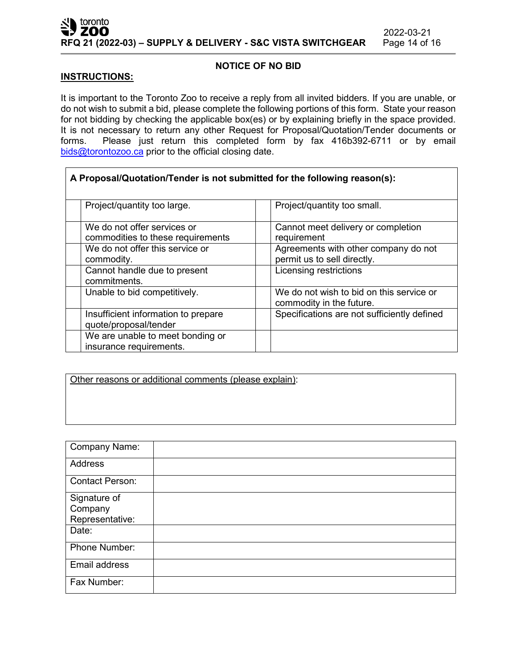┑

### **NOTICE OF NO BID**

### **INSTRUCTIONS:**

 $\Gamma$ 

It is important to the Toronto Zoo to receive a reply from all invited bidders. If you are unable, or do not wish to submit a bid, please complete the following portions of this form. State your reason for not bidding by checking the applicable box(es) or by explaining briefly in the space provided. It is not necessary to return any other Request for Proposal/Quotation/Tender documents or forms. Please just return this completed form by fax 416b392-6711 or by email [bids@torontozoo.ca](mailto:bids@torontozoo.ca) prior to the official closing date.

| A Proposal/Quotation/Tender is not submitted for the following reason(s): |                                                                      |
|---------------------------------------------------------------------------|----------------------------------------------------------------------|
| Project/quantity too large.                                               | Project/quantity too small.                                          |
| We do not offer services or<br>commodities to these requirements          | Cannot meet delivery or completion<br>requirement                    |
| We do not offer this service or<br>commodity.                             | Agreements with other company do not<br>permit us to sell directly.  |
| Cannot handle due to present<br>commitments.                              | Licensing restrictions                                               |
| Unable to bid competitively.                                              | We do not wish to bid on this service or<br>commodity in the future. |
| Insufficient information to prepare<br>quote/proposal/tender              | Specifications are not sufficiently defined                          |
| We are unable to meet bonding or<br>insurance requirements.               |                                                                      |

Other reasons or additional comments (please explain):

| Company Name:          |  |
|------------------------|--|
| Address                |  |
| <b>Contact Person:</b> |  |
| Signature of           |  |
| Company                |  |
| Representative:        |  |
| Date:                  |  |
| Phone Number:          |  |
| Email address          |  |
| Fax Number:            |  |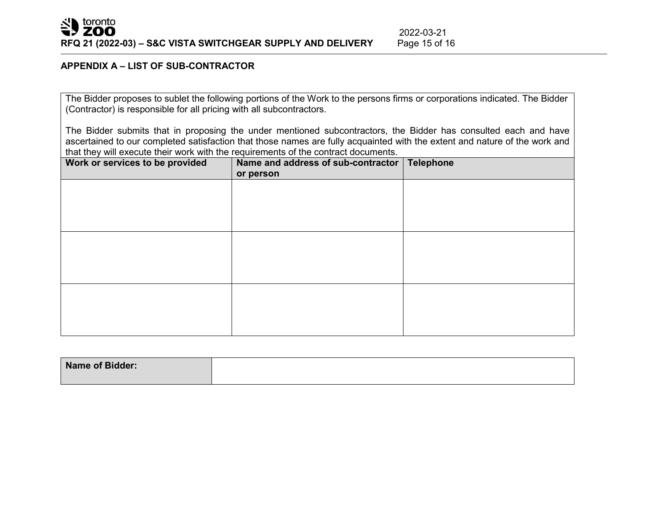### **APPENDIX A – LIST OF SUB-CONTRACTOR**

The Bidder proposes to sublet the following portions of the Work to the persons firms or corporations indicated. The Bidder (Contractor) is responsible for all pricing with all subcontractors.

The Bidder submits that in proposing the under mentioned subcontractors, the Bidder has consulted each and have ascertained to our completed satisfaction that those names are fully acquainted with the extent and nature of the work and that they will execute their work with the requirements of the contract documents.

| Work or services to be provided | Name and address of sub-contractor   Telephone<br>or person |  |
|---------------------------------|-------------------------------------------------------------|--|
|                                 |                                                             |  |
|                                 |                                                             |  |
|                                 |                                                             |  |
|                                 |                                                             |  |
|                                 |                                                             |  |
|                                 |                                                             |  |
|                                 |                                                             |  |
|                                 |                                                             |  |

| Name of Bidder: |  |
|-----------------|--|
|                 |  |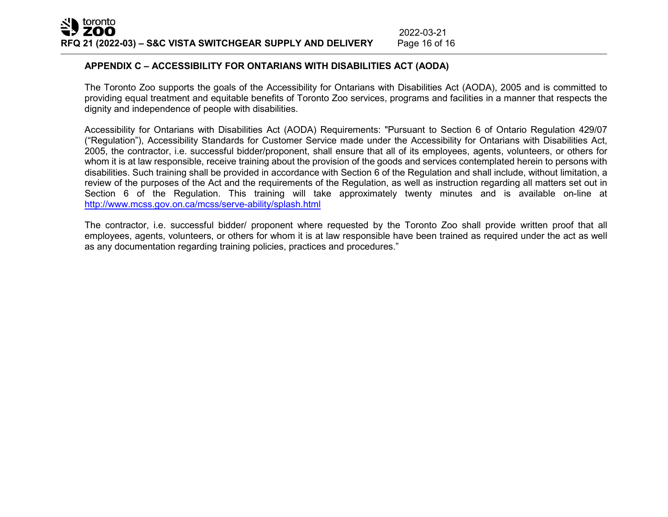### **APPENDIX C – ACCESSIBILITY FOR ONTARIANS WITH DISABILITIES ACT (AODA)**

The Toronto Zoo supports the goals of the Accessibility for Ontarians with Disabilities Act (AODA), 2005 and is committed to providing equal treatment and equitable benefits of Toronto Zoo services, programs and facilities in a manner that respects the dignity and independence of people with disabilities.

2022-03-21<br>Page 16 of 16

Accessibility for Ontarians with Disabilities Act (AODA) Requirements: "Pursuant to Section 6 of Ontario Regulation 429/07 ("Regulation"), Accessibility Standards for Customer Service made under the Accessibility for Ontarians with Disabilities Act, 2005, the contractor, i.e. successful bidder/proponent, shall ensure that all of its employees, agents, volunteers, or others for whom it is at law responsible, receive training about the provision of the goods and services contemplated herein to persons with disabilities. Such training shall be provided in accordance with Section 6 of the Regulation and shall include, without limitation, a review of the purposes of the Act and the requirements of the Regulation, as well as instruction regarding all matters set out in Section 6 of the Regulation. This training will take approximately twenty minutes and is available on-line at <http://www.mcss.gov.on.ca/mcss/serve-ability/splash.html>

The contractor, i.e. successful bidder/ proponent where requested by the Toronto Zoo shall provide written proof that all employees, agents, volunteers, or others for whom it is at law responsible have been trained as required under the act as well as any documentation regarding training policies, practices and procedures."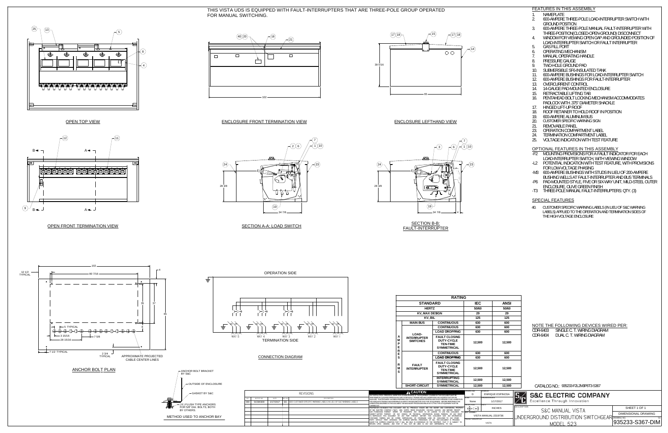$\widehat{(1,10)}$ 7



### FEATURES IN THIS ASSEMBLY

OPEN TOP VIEW

ENCLOSURE FRONT TERMINATION VIEW



<u>OPEN FRONT TERMINATION VIEW</u>

34 7/8

 $\odot$ 

28 3/8

 $(24)$ 

SECTION A-A: LOAD SWITCH

SECTION B-B:FAULT-INTERRUPTER

ENCLOSURE LEFTHAND VIEW







19

THIS VISTA UDS IS EQUIPPED WITH FAULT-INTERRUPTERS THAT ARE THREE-POLE GROUP OPERATEDFOR MANUAL SWITCHING.1. NAMEPLATE

- 
- 2. 600-AMPERE THREE-POLE LOAD-INTERRUPTER SWITCH WITHGROUND POSITION
- 3. 600-AMPERE THREE-POLE MANUAL FAULT-INTERRUPTER WITH THREE-POSITION(CLOSED-OPEN-GROUND) DISCONNECT
- 4. WINDOW FOR VIEWING OPEN GAP AND GROUNDED POSITION OFLOAD-INTERRUPTER SWITCH OR FAULT INTERRUPTER
- 5. GAS FILL PORT
- 6. OPERATING MECHANISM
- 7. MANUAL OPERATING HANDLE
- 8. PRESSURE GAUGE
- 9. TWO-HOLE GROUND PAD
- 10. SUBMERSIBLE SF6-INSULATED TANK
- 11. 600-AMPERE BUSHINGS FOR LOAD-INTERRUPTER SWITCH
- 12. 600-AMPERE BUSHINGS FOR FAULT-INTERRUPTER 13. OVERCURRENT CONTROL
- 14. 14-GAUGE PAD-MOUNTED ENCLOSURE
- 15. RETRACTABLE LIFTING TAB
- 16. PENTAHEAD BOLT LOCKING MECHANISM ACCOMMODATESPADLOCK WITH .375" DIAMETER SHACKLE
- 17. HINGED LIFT-UP ROOF
- 18. ROOF RETAINER TO HOLD ROOF IN POSITION
- 19. 600-AMPERE ALUMINUM BUS
- CUSTOMER SPECIFIC WARNING SIGN20.
- $21.$ REMOVABLE PANEL
- 23. OPERATION COMPARTMENT LABEL
- 24. TERMINATION COMPARTMENT LABEL
- 25. VOLTAGE INDICATION WITH TEST FEATURE



### OPTIONAL FEATURES IN THIS ASSEMBLY

- -F2 MOUNTING PROVISIONS FOR A FAULT INDICATOR FOR EACH LOAD-INTERRUPTER SWITCH, WITH VIEWING WINDOW
- -L2 POTENTIAL INDICATION WITH TEST FEATURE, WITH PROVISIONS FOR LOW-VOLTAGE PHASING
- -M3 600-AMPERE BUSHINGS WITH STUDS IN LIEU OF 200-AMPERE BUSHING WELLS AT FAULT-INTERRUPTER AND BUS TERMINALS
- -P6 PAD-MOUNTED STYLE, FIVE OR SIX-WAY UNIT, MILD-STEEL OUTER ENCLOSURE, OLIVE GREEN FINISH
- -T3 THREE-POLE MANUAL FAULT-INTERRUPTERS: QTY. (3)

### SPECIAL FEATURES

40. CUSTOMER SPECIFIC WARNING LABELS (IN LIEU OF S&C WARNING LABELS) APPLIED TO THE OPERATION AND TERMINATION SIDES OF THE HIGH VOLTAGE ENCLOSURE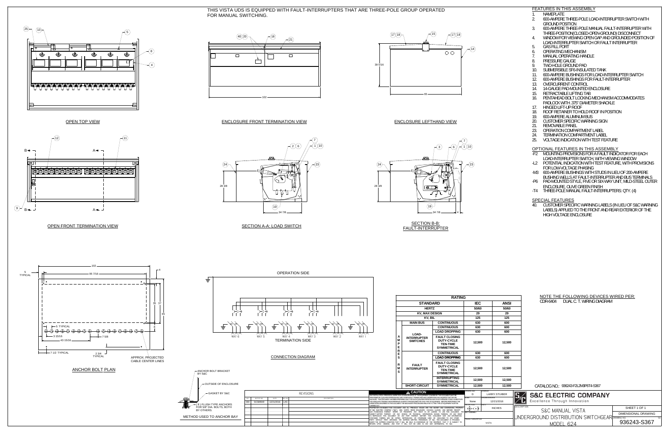PRODUCT DESCRIPTION VISTA

|                        |                      | <b>RATING</b>                                                                                                                                                                                                                                                                                                                                                                                                                                |                                                                                                                  |                                           |                                         |               |
|------------------------|----------------------|----------------------------------------------------------------------------------------------------------------------------------------------------------------------------------------------------------------------------------------------------------------------------------------------------------------------------------------------------------------------------------------------------------------------------------------------|------------------------------------------------------------------------------------------------------------------|-------------------------------------------|-----------------------------------------|---------------|
|                        |                      | <b>STANDARD</b>                                                                                                                                                                                                                                                                                                                                                                                                                              |                                                                                                                  | <b>IEC</b>                                |                                         | <b>ANSI</b>   |
|                        |                      | <b>HERTZ</b>                                                                                                                                                                                                                                                                                                                                                                                                                                 |                                                                                                                  | 50/60                                     |                                         | 50/60         |
|                        |                      | <b>KV, MAX DESIGN</b>                                                                                                                                                                                                                                                                                                                                                                                                                        |                                                                                                                  | 29                                        |                                         | 29            |
|                        |                      | KV, BIL                                                                                                                                                                                                                                                                                                                                                                                                                                      |                                                                                                                  | 125                                       |                                         | 125           |
|                        |                      | <b>MAIN BUS</b>                                                                                                                                                                                                                                                                                                                                                                                                                              | <b>CONTINUOUS</b>                                                                                                | 630                                       |                                         | 600           |
|                        |                      |                                                                                                                                                                                                                                                                                                                                                                                                                                              | <b>CONTINUOUS</b>                                                                                                | 630                                       |                                         | 600           |
|                        |                      |                                                                                                                                                                                                                                                                                                                                                                                                                                              | <b>LOAD DROPPING</b>                                                                                             | 630                                       |                                         | 600           |
|                        | A<br>M<br>Р<br>Е     | LOAD-<br><b>INTERRUPTER</b><br><b>SWITCHES</b>                                                                                                                                                                                                                                                                                                                                                                                               | <b>FAULT CLOSING</b><br><b>DUTY-CYCLE</b><br><b>TEN-TIME</b><br><b>SYMMETRICAL</b>                               | 12,500                                    |                                         | 12,500        |
|                        | R<br>Е               |                                                                                                                                                                                                                                                                                                                                                                                                                                              | <b>CONTINUOUS</b>                                                                                                | 630                                       |                                         | 600           |
|                        | S                    |                                                                                                                                                                                                                                                                                                                                                                                                                                              | <b>LOAD DROPPING</b>                                                                                             | 630                                       |                                         | 600           |
|                        | R<br>M<br>S          | <b>FAULT</b><br><b>INTERRUPTER</b>                                                                                                                                                                                                                                                                                                                                                                                                           | <b>FAULT CLOSING</b><br><b>DUTY-CYCLE</b><br><b>TEN-TIME</b><br><b>SYMMETRICAL</b>                               | 12,500                                    |                                         | 12,500        |
|                        |                      |                                                                                                                                                                                                                                                                                                                                                                                                                                              | <b>INTERRUPTING</b><br><b>SYMMETRICAL</b>                                                                        | 12,500                                    |                                         | 12,500        |
|                        | <b>SHORT-CIRCUIT</b> | <b>SYMMETRICAL</b>                                                                                                                                                                                                                                                                                                                                                                                                                           | 12,500                                                                                                           |                                           | 12,500                                  |               |
|                        |                      | <b>CAUTION</b>                                                                                                                                                                                                                                                                                                                                                                                                                               |                                                                                                                  | <b>DRAWING SIZE</b><br>D                  | <b>DRAWN BY</b>                         | LARRY.STUIBER |
|                        |                      | ANY INSTALLATION. OPERATION. INSPECTION OR MAINTENANCE OF THE EQUIPMENT COVERED BY THIS DOCUMENT MUST BE<br>PERFORMED BY QUALIFIED PERSONS WHO ARE THOROUGHLY TRAINED AND WHO UNDERSTAND ANY HAZARDS THAT MAY BE<br>FOR ADEQUATE TRAINING AND EXPERIENCE IN SAFETY PROCEDURES FOR THIS TYPE OF EQUIPMENT. BEFORE PERFORMING THE<br>OPERATIONS DESCRIBED IN THIS DOCUMENT THE NECESSARY PROCEDURES RELATIVE TO THIS TYPE OF EQUIPMENT MUST BE | INVOLVED. THIS DOCUMENT HAS BEEN PREPARED ONLY FOR SUCH QUALIFIED PERSONS AND IS NOT INTENDED TO BE A SUBSTITUTE | <b>SCALE</b><br>None<br><b>PROJECTION</b> | <b>ORIGINATION DATE</b><br><b>UNITS</b> | 12/21/2016    |
| CARRIED OUT            |                      | OF S&C ELECTRIC COMPANY ("S&C"), 6601 NORTH RIDGE BOULEVARD, CHICAGO, ILLINOIS, AND NEITHER RECEIPT                                                                                                                                                                                                                                                                                                                                          | PROPRIETARY STATEMENT: THIS DOCUMENT AND ALL PREVIOUS ISSUES ARE THE SECRET AND CONFIDENTIAL PROPERTY            |                                           |                                         | <b>INCHES</b> |
| NOR POSSESSION THEREOF |                      | SUBJECT MATTER THEREOF, OR ANY DESIGN OR TECHNICAL INFORMATION SHOWN THEREON; OR ANY RIGHT<br>TO REPRODUCE THIS DOCUMENT OR ANY PART THEREOF, NEITHER THIS DOCUMENT NOR ANY INFORMATION<br>CONTAINED THEREIN MAY BE COPIED. REPRODUCED. OR OTHERWISE USED OR DISCLOSED TO ANY OTHER                                                                                                                                                          | INFERS OR TRANSFERS ANY RIGHT IN OR LICENSE TO USE THIS DOCUMENT, THE NEXTASSEMBLY                               |                                           |                                         |               |

PARTY WITHOUT FIRST OBTAINING THE EXPRESS WRITTEN PERMISSION OF S&C. THIS-DOCUMENT IS PROVIDED<br>UNDER THE EXPRESS CONDITION THAT IT WILL BE HELD IN CONFIDENCE BY THE RECIPIENT, THAT IT IS SUBJECT TO<br>RETURN UPON DEMAND, AND

SECTION B-B: FAULT-INTERRUPTER

# THIS VISTA UDS IS EQUIPPED WITH FAULT-INTERRUPTERS THAT ARE THREE-POLE GROUP OPERATED FOR MANUAL SWITCHING.<br>2000-AMPERE

FEATURES IN THIS ASSEMBLY



# ENCLOSURE LEFTHAND VIEW



|                                            |               | NOTE THE FOLLOWING DEVICES WIRED PER:                                                           |
|--------------------------------------------|---------------|-------------------------------------------------------------------------------------------------|
| $\overline{\mathbf{C}}$                    | <b>ANSI</b>   | DUAL C. T. WIRING DIAGRAM<br>CDR-6404                                                           |
| 60                                         | 50/60         |                                                                                                 |
| 9                                          | 29            |                                                                                                 |
| :5                                         | 125           |                                                                                                 |
| O                                          | 600           |                                                                                                 |
| O                                          | 600           |                                                                                                 |
| O                                          | 600           |                                                                                                 |
| 500                                        | 12,500        |                                                                                                 |
| O                                          | 600           |                                                                                                 |
| O                                          | 600           |                                                                                                 |
| 500                                        | 12,500        |                                                                                                 |
| 500                                        | 12,500        |                                                                                                 |
| 500                                        | 12,500        | CATALOG NO.: 936243-F2L2M3P6T4-S367                                                             |
| <b>DRAWN BY</b><br><b>ORIGINATION DATE</b> | LARRY.STUIBER | <b>S&amp;C ELECTRIC COMPANY</b>                                                                 |
|                                            | 12/21/2016    | Excellence Through Innovation                                                                   |
| <b>UNITS</b>                               | <b>INCHES</b> | <b>DESCRIPTION</b><br>SHEET 1 OF 1<br><b>S&amp;C MANUAL VISTA</b><br><b>DIMENSIONAL DRAWING</b> |
| <b>TION</b><br><b>VISTA</b>                |               | UNDERGROUND DISTRIBUTION SWITCHGEAR DRAWING NO.<br>$\overline{SE}$<br>936243-S367<br>MODEL 624  |



- 
- 2. 600-AMPERE THREE-POLE LOAD-INTERRUPTER SWITCH WITH GROUND POSITION
- 3. 600-AMPERE THREE-POLE MANUAL FAULT-INTERRUPTER WITH THREE-POSITION(CLOSED-OPEN-GROUND) DISCONNECT
- 4. WINDOW FOR VIEWING OPEN GAP AND GROUNDED POSITION OF LOAD-INTERRUPTER SWITCH OR FAULT INTERRUPTER
- 5. GAS FILL PORT
- 6. OPERATING MECHANISM
- MANUAL OPERATING HANDLE
- 8. PRESSURE GAUGE
- 9. TWO-HOLE GROUND PAD 10. SUBMERSIBLE SF6-INSULATED TANK
- 11. 600-AMPERE BUSHINGS FOR LOAD-INTERRUPTER SWITCH
- 12. 600-AMPERE BUSHINGS FOR FAULT-INTERRUPTER
- 13. OVERCURRENT CONTROL
- 14. 14-GAUGE PAD-MOUNTED ENCLOSURE
- 15. RETRACTABLE LIFTING TAB
- 16. PENTAHEAD BOLT LOCKING MECHANISM ACCOMMODATES PADLOCK WITH .375" DIAMETER SHACKLE
- 17. HINGED LIFT-UP ROOF
- 18. ROOF RETAINER TO HOLD ROOF IN POSITION
- 19. 600-AMPERE ALUMINUM BUS
- 20. CUSTOMER SPECIFIC WARNING SIGN
- 21. REMOVABLE PANEL
- 23. OPERATION COMPARTMENT LABEL
- 24. TERMINATION COMPARTMENT LABEL
- 25. VOLTAGE INDICATION WITH TEST FEATURE

OPTIONAL FEATURES IN THIS ASSEMBLY

- -F2 MOUNTING PROVISIONS FOR A FAULT INDICATOR FOR EACHLOAD-INTERRUPTER SWITCH, WITH VIEWING WINDOW
- -L2 POTENTIAL INDICATION WITH TEST FEATURE, WITH PROVISIONS FOR LOW-VOLTAGE PHASING
- -M3 600-AMPERE BUSHINGS WITH STUDS IN LIEU OF 200-AMPERE BUSHING WELLS AT FAULT-INTERRUPTER AND BUS TERMINALS
- -P6 PAD-MOUNTED STYLE, FIVE OR SIX-WAY UNIT, MILD-STEEL OUTER ENCLOSURE, OLIVE GREEN FINISH
- -T4 THREE-POLE MANUAL FAULT-INTERRUPTERS: QTY. (4)

# SPECIAL FEATURES

40. CUSTOMER SPECIFIC WARNING LABELS (IN LIEU OF S&C WARNING LABELS) APPLIED TO THE FRONT AND REAR EXTERIOR OF THE HIGH VOLTAGE ENCLOSURE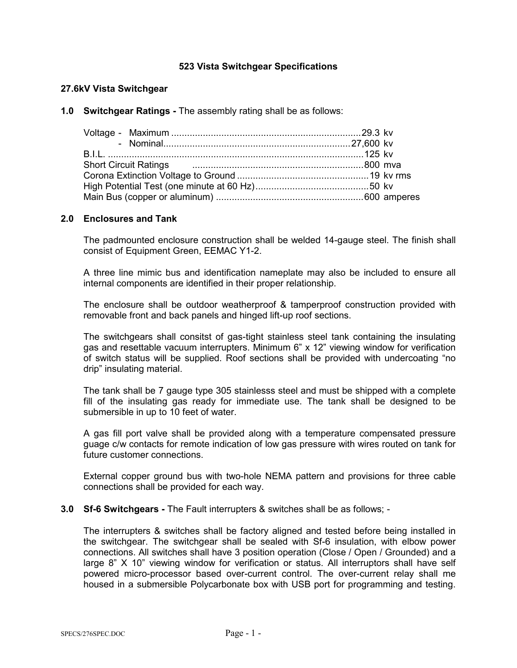### **523 Vista Switchgear Specifications**

### **27.6kV Vista Switchgear**

**1.0 Switchgear Ratings -** The assembly rating shall be as follows:

| Short Circuit Ratings <b>Constanting Contract Circuit Ratings Constanting Constanting Constanting Constanting Constanting Constanting Constanting Constanting Constanting Constanting Constanting Constanting Constanting Cons</b> |  |  |
|------------------------------------------------------------------------------------------------------------------------------------------------------------------------------------------------------------------------------------|--|--|
|                                                                                                                                                                                                                                    |  |  |
|                                                                                                                                                                                                                                    |  |  |
|                                                                                                                                                                                                                                    |  |  |

### **2.0 Enclosures and Tank**

The padmounted enclosure construction shall be welded 14-gauge steel. The finish shall consist of Equipment Green, EEMAC Y1-2.

A three line mimic bus and identification nameplate may also be included to ensure all internal components are identified in their proper relationship.

The enclosure shall be outdoor weatherproof & tamperproof construction provided with removable front and back panels and hinged lift-up roof sections.

The switchgears shall consitst of gas-tight stainless steel tank containing the insulating gas and resettable vacuum interrupters. Minimum 6" x 12" viewing window for verification of switch status will be supplied. Roof sections shall be provided with undercoating "no drip" insulating material.

The tank shall be 7 gauge type 305 stainlesss steel and must be shipped with a complete fill of the insulating gas ready for immediate use. The tank shall be designed to be submersible in up to 10 feet of water.

A gas fill port valve shall be provided along with a temperature compensated pressure guage c/w contacts for remote indication of low gas pressure with wires routed on tank for future customer connections.

External copper ground bus with two-hole NEMA pattern and provisions for three cable connections shall be provided for each way.

**3.0 Sf-6 Switchgears -** The Fault interrupters & switches shall be as follows; -

The interrupters & switches shall be factory aligned and tested before being installed in the switchgear. The switchgear shall be sealed with Sf-6 insulation, with elbow power connections. All switches shall have 3 position operation (Close / Open / Grounded) and a large 8" X 10" viewing window for verification or status. All interruptors shall have self powered micro-processor based over-current control. The over-current relay shall me housed in a submersible Polycarbonate box with USB port for programming and testing.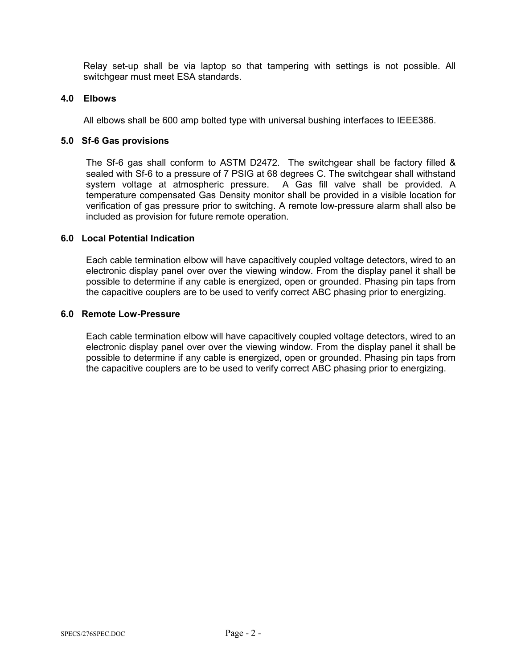Relay set-up shall be via laptop so that tampering with settings is not possible. All switchgear must meet ESA standards.

### **4.0 Elbows**

All elbows shall be 600 amp bolted type with universal bushing interfaces to IEEE386.

### **5.0 Sf-6 Gas provisions**

The Sf-6 gas shall conform to ASTM D2472. The switchgear shall be factory filled & sealed with Sf-6 to a pressure of 7 PSIG at 68 degrees C. The switchgear shall withstand system voltage at atmospheric pressure. A Gas fill valve shall be provided. A temperature compensated Gas Density monitor shall be provided in a visible location for verification of gas pressure prior to switching. A remote low-pressure alarm shall also be included as provision for future remote operation.

### **6.0 Local Potential Indication**

Each cable termination elbow will have capacitively coupled voltage detectors, wired to an electronic display panel over over the viewing window. From the display panel it shall be possible to determine if any cable is energized, open or grounded. Phasing pin taps from the capacitive couplers are to be used to verify correct ABC phasing prior to energizing.

### **6.0 Remote Low-Pressure**

Each cable termination elbow will have capacitively coupled voltage detectors, wired to an electronic display panel over over the viewing window. From the display panel it shall be possible to determine if any cable is energized, open or grounded. Phasing pin taps from the capacitive couplers are to be used to verify correct ABC phasing prior to energizing.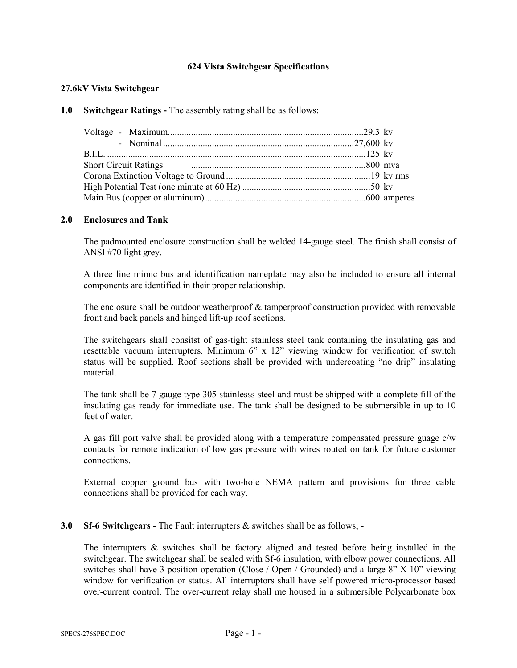### **624 Vista Switchgear Specifications**

### **27.6kV Vista Switchgear**

### **1.0 Switchgear Ratings -** The assembly rating shall be as follows:

### **2.0 Enclosures and Tank**

The padmounted enclosure construction shall be welded 14-gauge steel. The finish shall consist of ANSI #70 light grey.

A three line mimic bus and identification nameplate may also be included to ensure all internal components are identified in their proper relationship.

The enclosure shall be outdoor weatherproof  $&$  tamperproof construction provided with removable front and back panels and hinged lift-up roof sections.

The switchgears shall consitst of gas-tight stainless steel tank containing the insulating gas and resettable vacuum interrupters. Minimum 6" x 12" viewing window for verification of switch status will be supplied. Roof sections shall be provided with undercoating "no drip" insulating material.

The tank shall be 7 gauge type 305 stainlesss steel and must be shipped with a complete fill of the insulating gas ready for immediate use. The tank shall be designed to be submersible in up to 10 feet of water.

A gas fill port valve shall be provided along with a temperature compensated pressure guage c/w contacts for remote indication of low gas pressure with wires routed on tank for future customer connections.

External copper ground bus with two-hole NEMA pattern and provisions for three cable connections shall be provided for each way.

### **3.0 Sf-6 Switchgears -** The Fault interrupters & switches shall be as follows; -

The interrupters  $\&$  switches shall be factory aligned and tested before being installed in the switchgear. The switchgear shall be sealed with Sf-6 insulation, with elbow power connections. All switches shall have 3 position operation (Close / Open / Grounded) and a large 8" X 10" viewing window for verification or status. All interruptors shall have self powered micro-processor based over-current control. The over-current relay shall me housed in a submersible Polycarbonate box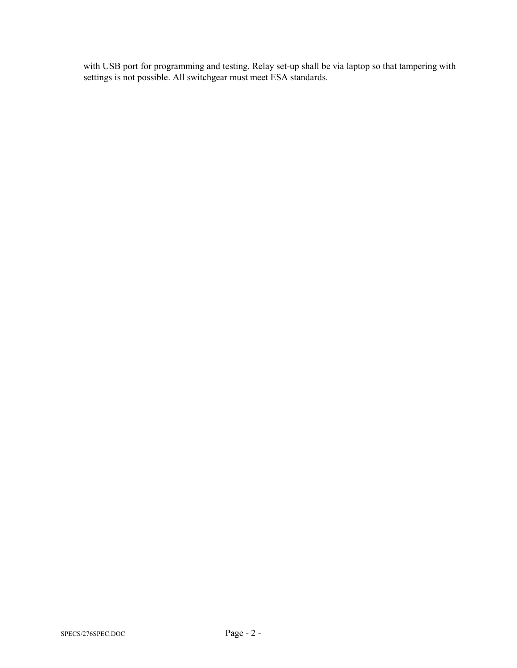with USB port for programming and testing. Relay set-up shall be via laptop so that tampering with settings is not possible. All switchgear must meet ESA standards.